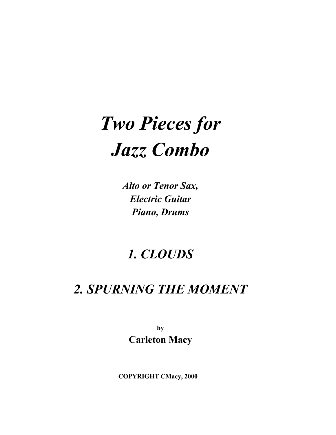# *Two Pieces for Jazz Combo*

*Alto or Tenor Sax, Electric Guitar Piano, Drums*

# *1. CLOUDS*

## *2. SPURNING THE MOMENT*

**by Carleton Macy**

**COPYRIGHT CMacy, 2000**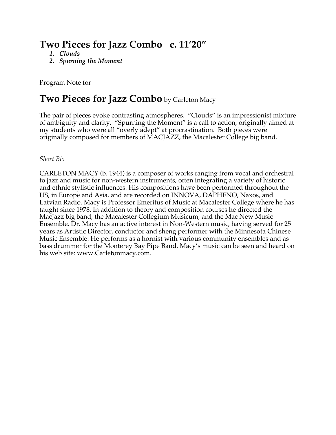## **Two Pieces for Jazz Combo c. 11'20"**

*1. Clouds*

*2. Spurning the Moment*

Program Note for

### **Two Pieces for Jazz Combo** by Carleton Macy

The pair of pieces evoke contrasting atmospheres. "Clouds" is an impressionist mixture of ambiguity and clarity. "Spurning the Moment" is a call to action, originally aimed at my students who were all "overly adept" at procrastination. Both pieces were originally composed for members of MACJAZZ, the Macalester College big band.

#### *Short Bio*

CARLETON MACY (b. 1944) is a composer of works ranging from vocal and orchestral to jazz and music for non-western instruments, often integrating a variety of historic and ethnic stylistic influences. His compositions have been performed throughout the US, in Europe and Asia, and are recorded on INNOVA, DAPHENO, Naxos, and Latvian Radio. Macy is Professor Emeritus of Music at Macalester College where he has taught since 1978. In addition to theory and composition courses he directed the MacJazz big band, the Macalester Collegium Musicum, and the Mac New Music Ensemble. Dr. Macy has an active interest in Non-Western music, having served for 25 years as Artistic Director, conductor and sheng performer with the Minnesota Chinese Music Ensemble. He performs as a hornist with various community ensembles and as bass drummer for the Monterey Bay Pipe Band. Macy's music can be seen and heard on his web site: www.Carletonmacy.com.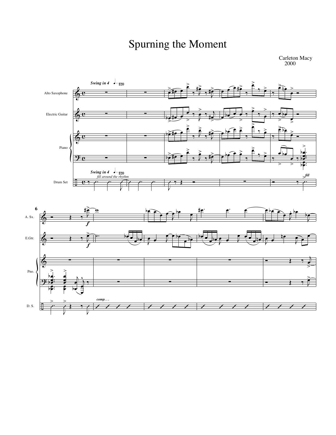# Spurning the Moment

Carleton Macy 2000

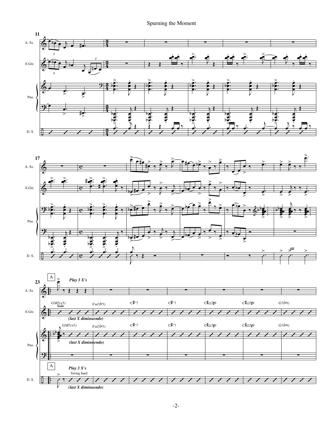Spurning the Moment





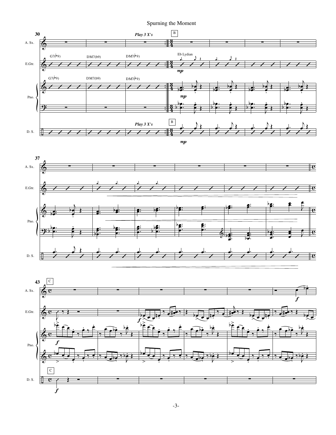





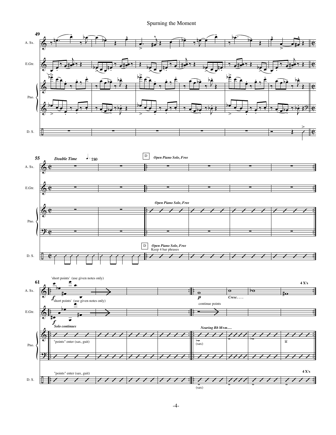Spurning the Moment

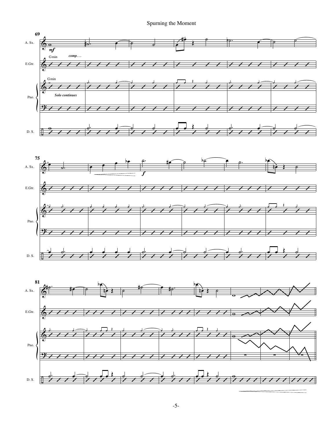Spurning the Moment



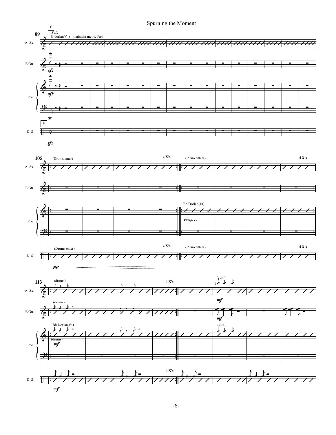

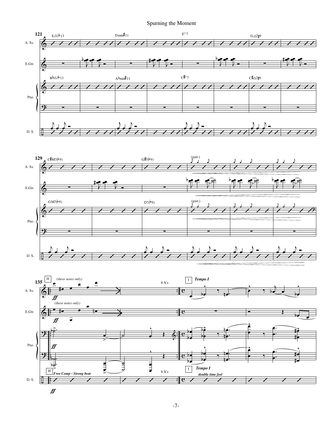#### Spurning the Moment







 $\pmb{\mathit{ff}}$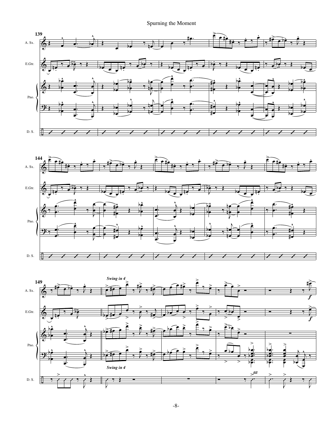Spurning the Moment